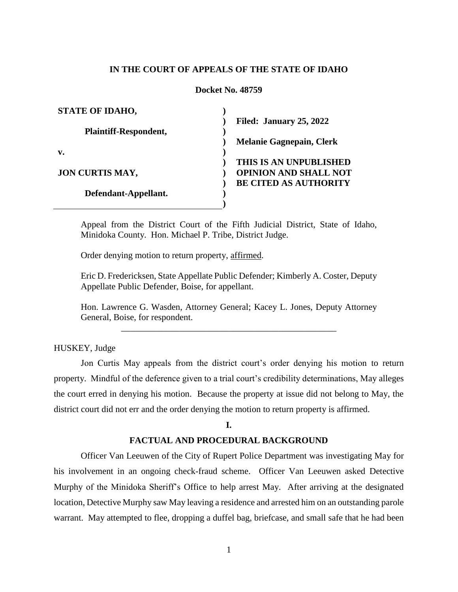# **IN THE COURT OF APPEALS OF THE STATE OF IDAHO**

### **Docket No. 48759**

| <b>STATE OF IDAHO,</b>       |                                 |
|------------------------------|---------------------------------|
|                              | Filed: January 25, 2022         |
| <b>Plaintiff-Respondent,</b> |                                 |
|                              | <b>Melanie Gagnepain, Clerk</b> |
| v.                           |                                 |
|                              | THIS IS AN UNPUBLISHED          |
| <b>JON CURTIS MAY,</b>       | <b>OPINION AND SHALL NOT</b>    |
|                              | <b>BE CITED AS AUTHORITY</b>    |
| Defendant-Appellant.         |                                 |
|                              |                                 |

Appeal from the District Court of the Fifth Judicial District, State of Idaho, Minidoka County. Hon. Michael P. Tribe, District Judge.

Order denying motion to return property, affirmed.

Eric D. Fredericksen, State Appellate Public Defender; Kimberly A. Coster, Deputy Appellate Public Defender, Boise, for appellant.

Hon. Lawrence G. Wasden, Attorney General; Kacey L. Jones, Deputy Attorney General, Boise, for respondent. \_\_\_\_\_\_\_\_\_\_\_\_\_\_\_\_\_\_\_\_\_\_\_\_\_\_\_\_\_\_\_\_\_\_\_\_\_\_\_\_\_\_\_\_\_\_\_\_

HUSKEY, Judge

Jon Curtis May appeals from the district court's order denying his motion to return property. Mindful of the deference given to a trial court's credibility determinations, May alleges the court erred in denying his motion. Because the property at issue did not belong to May, the district court did not err and the order denying the motion to return property is affirmed.

## **I.**

# **FACTUAL AND PROCEDURAL BACKGROUND**

Officer Van Leeuwen of the City of Rupert Police Department was investigating May for his involvement in an ongoing check-fraud scheme. Officer Van Leeuwen asked Detective Murphy of the Minidoka Sheriff's Office to help arrest May. After arriving at the designated location, Detective Murphy saw May leaving a residence and arrested him on an outstanding parole warrant. May attempted to flee, dropping a duffel bag, briefcase, and small safe that he had been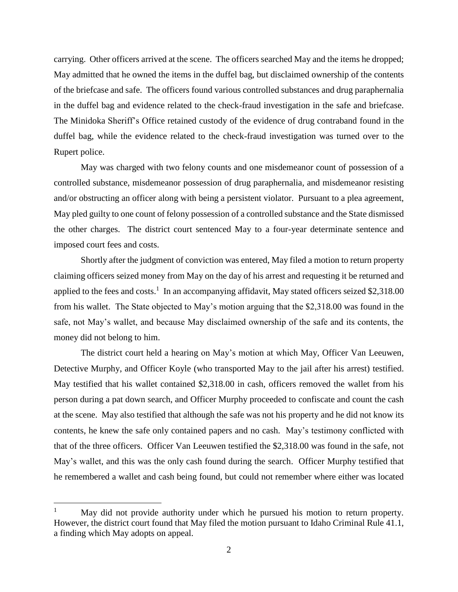carrying. Other officers arrived at the scene. The officers searched May and the items he dropped; May admitted that he owned the items in the duffel bag, but disclaimed ownership of the contents of the briefcase and safe. The officers found various controlled substances and drug paraphernalia in the duffel bag and evidence related to the check-fraud investigation in the safe and briefcase. The Minidoka Sheriff's Office retained custody of the evidence of drug contraband found in the duffel bag, while the evidence related to the check-fraud investigation was turned over to the Rupert police.

May was charged with two felony counts and one misdemeanor count of possession of a controlled substance, misdemeanor possession of drug paraphernalia, and misdemeanor resisting and/or obstructing an officer along with being a persistent violator. Pursuant to a plea agreement, May pled guilty to one count of felony possession of a controlled substance and the State dismissed the other charges. The district court sentenced May to a four-year determinate sentence and imposed court fees and costs.

Shortly after the judgment of conviction was entered, May filed a motion to return property claiming officers seized money from May on the day of his arrest and requesting it be returned and applied to the fees and costs.<sup>1</sup> In an accompanying affidavit, May stated officers seized \$2,318.00 from his wallet. The State objected to May's motion arguing that the \$2,318.00 was found in the safe, not May's wallet, and because May disclaimed ownership of the safe and its contents, the money did not belong to him.

The district court held a hearing on May's motion at which May, Officer Van Leeuwen, Detective Murphy, and Officer Koyle (who transported May to the jail after his arrest) testified. May testified that his wallet contained \$2,318.00 in cash, officers removed the wallet from his person during a pat down search, and Officer Murphy proceeded to confiscate and count the cash at the scene. May also testified that although the safe was not his property and he did not know its contents, he knew the safe only contained papers and no cash. May's testimony conflicted with that of the three officers. Officer Van Leeuwen testified the \$2,318.00 was found in the safe, not May's wallet, and this was the only cash found during the search. Officer Murphy testified that he remembered a wallet and cash being found, but could not remember where either was located

 $\overline{a}$ 

<sup>&</sup>lt;sup>1</sup> May did not provide authority under which he pursued his motion to return property. However, the district court found that May filed the motion pursuant to Idaho Criminal Rule 41.1, a finding which May adopts on appeal.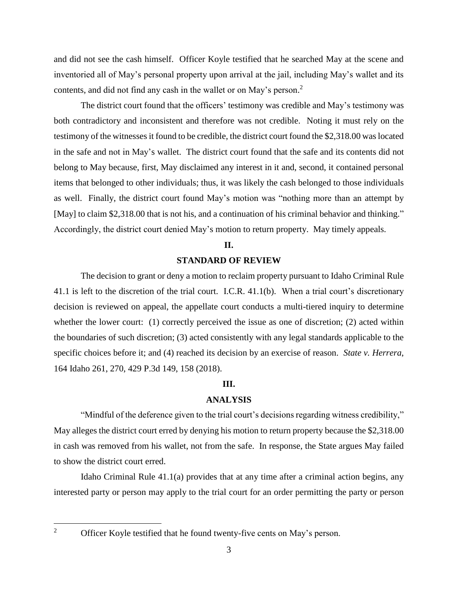and did not see the cash himself. Officer Koyle testified that he searched May at the scene and inventoried all of May's personal property upon arrival at the jail, including May's wallet and its contents, and did not find any cash in the wallet or on May's person. $<sup>2</sup>$ </sup>

The district court found that the officers' testimony was credible and May's testimony was both contradictory and inconsistent and therefore was not credible. Noting it must rely on the testimony of the witnesses it found to be credible, the district court found the \$2,318.00 was located in the safe and not in May's wallet. The district court found that the safe and its contents did not belong to May because, first, May disclaimed any interest in it and, second, it contained personal items that belonged to other individuals; thus, it was likely the cash belonged to those individuals as well. Finally, the district court found May's motion was "nothing more than an attempt by [May] to claim \$2,318.00 that is not his, and a continuation of his criminal behavior and thinking." Accordingly, the district court denied May's motion to return property. May timely appeals.

## **II.**

# **STANDARD OF REVIEW**

The decision to grant or deny a motion to reclaim property pursuant to Idaho Criminal Rule 41.1 is left to the discretion of the trial court. I.C.R. 41.1(b). When a trial court's discretionary decision is reviewed on appeal, the appellate court conducts a multi-tiered inquiry to determine whether the lower court: (1) correctly perceived the issue as one of discretion; (2) acted within the boundaries of such discretion; (3) acted consistently with any legal standards applicable to the specific choices before it; and (4) reached its decision by an exercise of reason. *State v. Herrera*, 164 Idaho 261, 270, 429 P.3d 149, 158 (2018).

# **III.**

## **ANALYSIS**

"Mindful of the deference given to the trial court's decisions regarding witness credibility," May alleges the district court erred by denying his motion to return property because the \$2,318.00 in cash was removed from his wallet, not from the safe. In response, the State argues May failed to show the district court erred.

Idaho Criminal Rule 41.1(a) provides that at any time after a criminal action begins, any interested party or person may apply to the trial court for an order permitting the party or person

 $\overline{2}$ 

Officer Koyle testified that he found twenty-five cents on May's person.